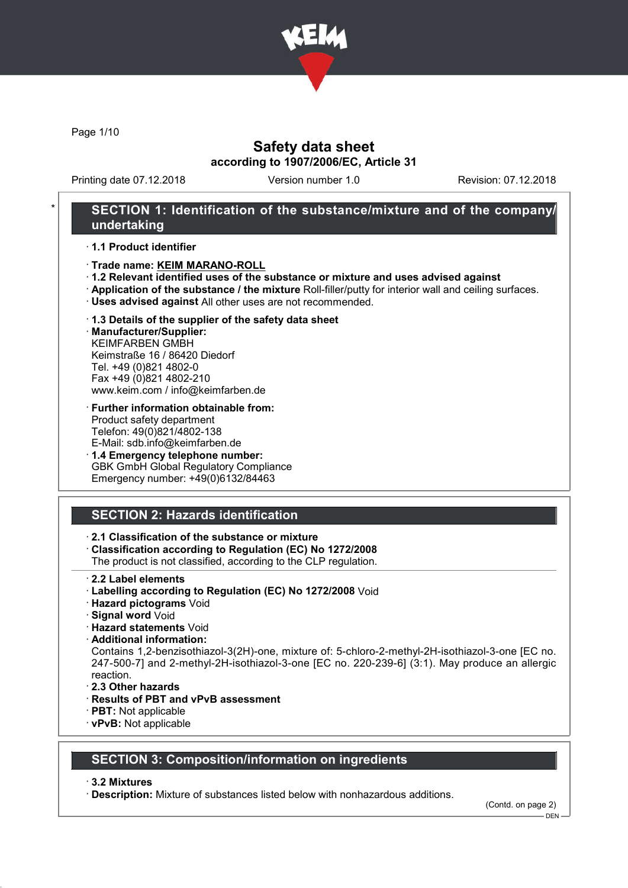

Page 1/10

## Safety data sheet according to 1907/2006/EC, Article 31

Printing date 07.12.2018 Version number 1.0 Revision: 07.12.2018

## SECTION 1: Identification of the substance/mixture and of the company/ undertaking

#### · 1.1 Product identifier

- · Trade name: KEIM MARANO-ROLL
- · 1.2 Relevant identified uses of the substance or mixture and uses advised against
- · Application of the substance / the mixture Roll-filler/putty for interior wall and ceiling surfaces.
- · Uses advised against All other uses are not recommended.

### · 1.3 Details of the supplier of the safety data sheet

· Manufacturer/Supplier: KEIMFARBEN GMBH Keimstraße 16 / 86420 Diedorf Tel. +49 (0)821 4802-0 Fax +49 (0)821 4802-210 www.keim.com / info@keimfarben.de

- · Further information obtainable from: Product safety department Telefon: 49(0)821/4802-138 E-Mail: sdb.info@keimfarben.de
- · 1.4 Emergency telephone number: GBK GmbH Global Regulatory Compliance Emergency number: +49(0)6132/84463

# SECTION 2: Hazards identification

## · 2.1 Classification of the substance or mixture

· Classification according to Regulation (EC) No 1272/2008

The product is not classified, according to the CLP regulation.

- 2.2 Label elements
- · Labelling according to Regulation (EC) No 1272/2008 Void
- · Hazard pictograms Void
- · Signal word Void
- · Hazard statements Void
- · Additional information:

Contains 1,2-benzisothiazol-3(2H)-one, mixture of: 5-chloro-2-methyl-2H-isothiazol-3-one [EC no. 247-500-7] and 2-methyl-2H-isothiazol-3-one [EC no. 220-239-6] (3:1). May produce an allergic reaction.

- · 2.3 Other hazards
- · Results of PBT and vPvB assessment
- · PBT: Not applicable
- · vPvB: Not applicable

## SECTION 3: Composition/information on ingredients

#### · 3.2 Mixtures

· Description: Mixture of substances listed below with nonhazardous additions.

(Contd. on page 2)

 $-$  DEN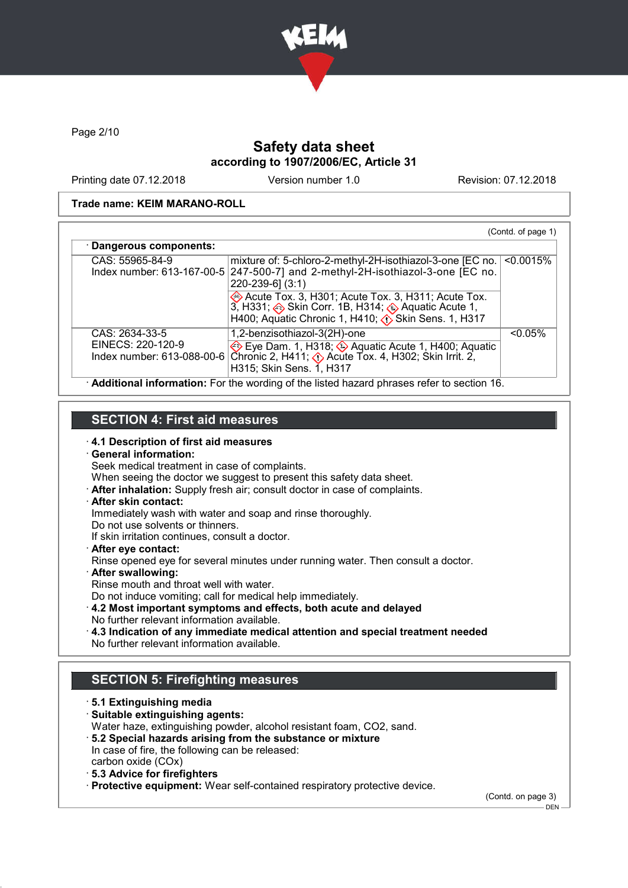

Page 2/10

# Safety data sheet according to 1907/2006/EC, Article 31

Printing date 07.12.2018 Version number 1.0 Revision: 07.12.2018

#### Trade name: KEIM MARANO-ROLL

| CAS: 55965-84-9                     | mixture of: 5-chloro-2-methyl-2H-isothiazol-3-one [EC no.  <br>Index number: 613-167-00-5 $247-500-7$ and 2-methyl-2H-isothiazol-3-one [EC no.<br>$220 - 239 - 6$ ] (3:1)               | $< 0.0015\%$ |
|-------------------------------------|-----------------------------------------------------------------------------------------------------------------------------------------------------------------------------------------|--------------|
|                                     | ◈ Acute Tox. 3, H301; Acute Tox. 3, H311; Acute Tox.<br>3, H331; ◈ Skin Corr. 1B, H314; ◈ Aquatic Acute 1,<br>H400; Aquatic Chronic 1, H410; $\langle \cdot \rangle$ Skin Sens. 1, H317 |              |
| CAS: 2634-33-5<br>EINECS: 220-120-9 | 1,2-benzisothiazol-3(2H)-one                                                                                                                                                            | $< 0.05\%$   |
|                                     | Eye Dam. 1, H318; $\Diamond$ Aquatic Acute 1, H400; Aquatic<br>Index number: 613-088-00-6 Chronic 2, H411; $\Diamond$ Acute Tox. 4, H302; Skin Irrit. 2,<br>H315; Skin Sens. 1, H317    |              |

## SECTION 4: First aid measures

- 
- · 4.1 Description of first aid measures · General information:
- Seek medical treatment in case of complaints.
- When seeing the doctor we suggest to present this safety data sheet.
- · After inhalation: Supply fresh air; consult doctor in case of complaints.
- · After skin contact:
- Immediately wash with water and soap and rinse thoroughly.
- Do not use solvents or thinners.
- If skin irritation continues, consult a doctor.
- · After eye contact:
- Rinse opened eye for several minutes under running water. Then consult a doctor.
- · After swallowing:
- Rinse mouth and throat well with water.
- Do not induce vomiting; call for medical help immediately.
- · 4.2 Most important symptoms and effects, both acute and delayed No further relevant information available.
- · 4.3 Indication of any immediate medical attention and special treatment needed No further relevant information available.

# SECTION 5: Firefighting measures

· 5.1 Extinguishing media · Suitable extinguishing agents: Water haze, extinguishing powder, alcohol resistant foam, CO2, sand. · 5.2 Special hazards arising from the substance or mixture In case of fire, the following can be released: carbon oxide (COx) · 5.3 Advice for firefighters · Protective equipment: Wear self-contained respiratory protective device.

(Contd. on page 3)  $-$  DEN -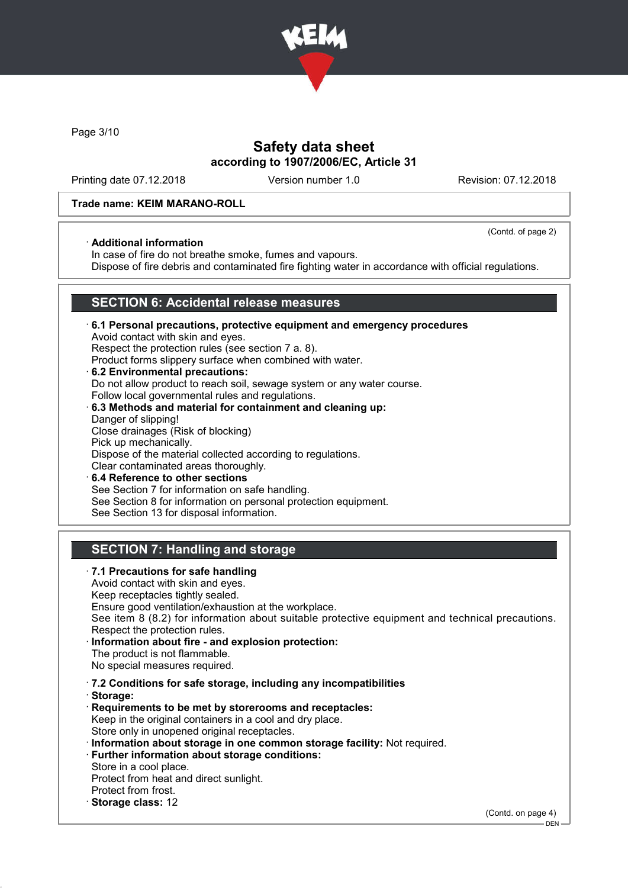

Page 3/10

## Safety data sheet according to 1907/2006/EC, Article 31

Printing date 07.12.2018 Version number 1.0 Revision: 07.12.2018

(Contd. of page 2)

#### Trade name: KEIM MARANO-ROLL

#### · Additional information

In case of fire do not breathe smoke, fumes and vapours.

Dispose of fire debris and contaminated fire fighting water in accordance with official regulations.

## SECTION 6: Accidental release measures

- · 6.1 Personal precautions, protective equipment and emergency procedures Avoid contact with skin and eyes. Respect the protection rules (see section 7 a. 8). Product forms slippery surface when combined with water. · 6.2 Environmental precautions: Do not allow product to reach soil, sewage system or any water course.
- Follow local governmental rules and regulations. · 6.3 Methods and material for containment and cleaning up:
- Danger of slipping! Close drainages (Risk of blocking) Pick up mechanically. Dispose of the material collected according to regulations. Clear contaminated areas thoroughly. 6.4 Reference to other sections
- See Section 7 for information on safe handling. See Section 8 for information on personal protection equipment. See Section 13 for disposal information.

# SECTION 7: Handling and storage

· 7.1 Precautions for safe handling Avoid contact with skin and eyes. Keep receptacles tightly sealed. Ensure good ventilation/exhaustion at the workplace. See item 8 (8.2) for information about suitable protective equipment and technical precautions. Respect the protection rules. Information about fire - and explosion protection: The product is not flammable. No special measures required. · 7.2 Conditions for safe storage, including any incompatibilities · Storage: · Requirements to be met by storerooms and receptacles: Keep in the original containers in a cool and dry place. Store only in unopened original receptacles. · Information about storage in one common storage facility: Not required. · Further information about storage conditions: Store in a cool place. Protect from heat and direct sunlight. Protect from frost. · Storage class: 12 (Contd. on page 4)

 $-$  DEN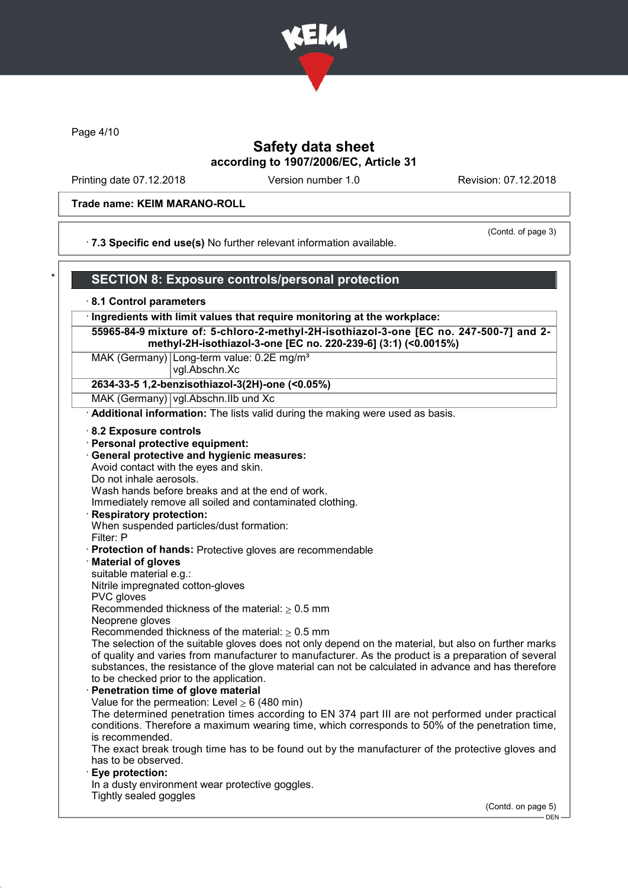

Page 4/10

## Safety data sheet according to 1907/2006/EC, Article 31

Printing date 07.12.2018 Version number 1.0 Revision: 07.12.2018

#### Trade name: KEIM MARANO-ROLL

· 7.3 Specific end use(s) No further relevant information available.

(Contd. of page 3)

#### **SECTION 8: Exposure controls/personal protection** · 8.1 Control parameters · Ingredients with limit values that require monitoring at the workplace: 55965-84-9 mixture of: 5-chloro-2-methyl-2H-isothiazol-3-one [EC no. 247-500-7] and 2 methyl-2H-isothiazol-3-one [EC no. 220-239-6] (3:1) (<0.0015%) MAK (Germany) Long-term value: 0.2E mg/m<sup>3</sup> vgl.Abschn.Xc 2634-33-5 1,2-benzisothiazol-3(2H)-one (<0.05%) MAK (Germany) vgl.Abschn.IIb und Xc Additional information: The lists valid during the making were used as basis. · 8.2 Exposure controls · Personal protective equipment: · General protective and hygienic measures: Avoid contact with the eyes and skin. Do not inhale aerosols. Wash hands before breaks and at the end of work. Immediately remove all soiled and contaminated clothing. · Respiratory protection: When suspended particles/dust formation: Filter: P · Protection of hands: Protective gloves are recommendable · Material of gloves suitable material e.g.: Nitrile impregnated cotton-gloves PVC gloves Recommended thickness of the material:  $> 0.5$  mm Neoprene gloves Recommended thickness of the material:  $\geq 0.5$  mm The selection of the suitable gloves does not only depend on the material, but also on further marks of quality and varies from manufacturer to manufacturer. As the product is a preparation of several substances, the resistance of the glove material can not be calculated in advance and has therefore to be checked prior to the application. Penetration time of glove material Value for the permeation: Level  $> 6$  (480 min) The determined penetration times according to EN 374 part III are not performed under practical conditions. Therefore a maximum wearing time, which corresponds to 50% of the penetration time, is recommended. The exact break trough time has to be found out by the manufacturer of the protective gloves and has to be observed. Eye protection: In a dusty environment wear protective goggles. Tightly sealed goggles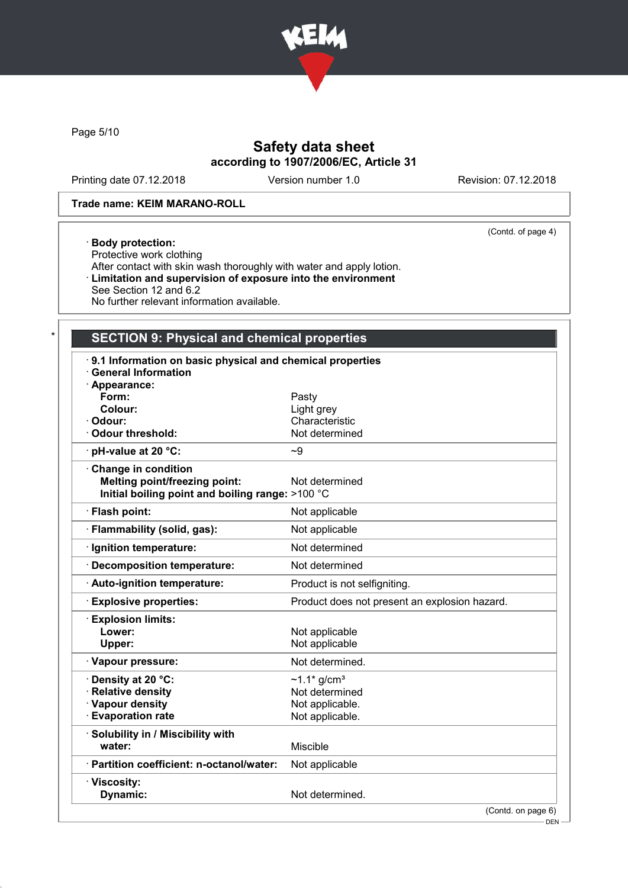

Page 5/10

# Safety data sheet according to 1907/2006/EC, Article 31

Printing date 07.12.2018 Version number 1.0 Revision: 07.12.2018

(Contd. of page 4)

### Trade name: KEIM MARANO-ROLL

#### · Body protection:

Protective work clothing After contact with skin wash thoroughly with water and apply lotion. · Limitation and supervision of exposure into the environment See Section 12 and 6.2 No further relevant information available.

# SECTION 9: Physical and chemical properties

| 9.1 Information on basic physical and chemical properties<br><b>General Information</b><br>· Appearance: |                                               |
|----------------------------------------------------------------------------------------------------------|-----------------------------------------------|
| Form:                                                                                                    | Pasty                                         |
| Colour:                                                                                                  | Light grey                                    |
| · Odour:                                                                                                 | Characteristic                                |
| · Odour threshold:                                                                                       | Not determined                                |
| · pH-value at 20 °C:                                                                                     | $-9$                                          |
| Change in condition                                                                                      |                                               |
| <b>Melting point/freezing point:</b>                                                                     | Not determined                                |
| Initial boiling point and boiling range: >100 °C                                                         |                                               |
| · Flash point:                                                                                           | Not applicable                                |
| · Flammability (solid, gas):                                                                             | Not applicable                                |
| · Ignition temperature:                                                                                  | Not determined                                |
| Decomposition temperature:                                                                               | Not determined                                |
| · Auto-ignition temperature:                                                                             | Product is not selfigniting.                  |
| <b>Explosive properties:</b>                                                                             | Product does not present an explosion hazard. |
| <b>Explosion limits:</b>                                                                                 |                                               |
| Lower:                                                                                                   | Not applicable                                |
| Upper:                                                                                                   | Not applicable                                |
| · Vapour pressure:                                                                                       | Not determined.                               |
| · Density at 20 °C:                                                                                      | $~1.1$ * g/cm <sup>3</sup>                    |
| · Relative density                                                                                       | Not determined                                |
| · Vapour density                                                                                         | Not applicable.                               |
| <b>Evaporation rate</b>                                                                                  | Not applicable.                               |
| · Solubility in / Miscibility with                                                                       |                                               |
| water:                                                                                                   | Miscible                                      |
| · Partition coefficient: n-octanol/water:                                                                | Not applicable                                |
| · Viscosity:                                                                                             |                                               |
| <b>Dynamic:</b>                                                                                          | Not determined.                               |
|                                                                                                          | (Contedon page 6)                             |

 $-$  DEN -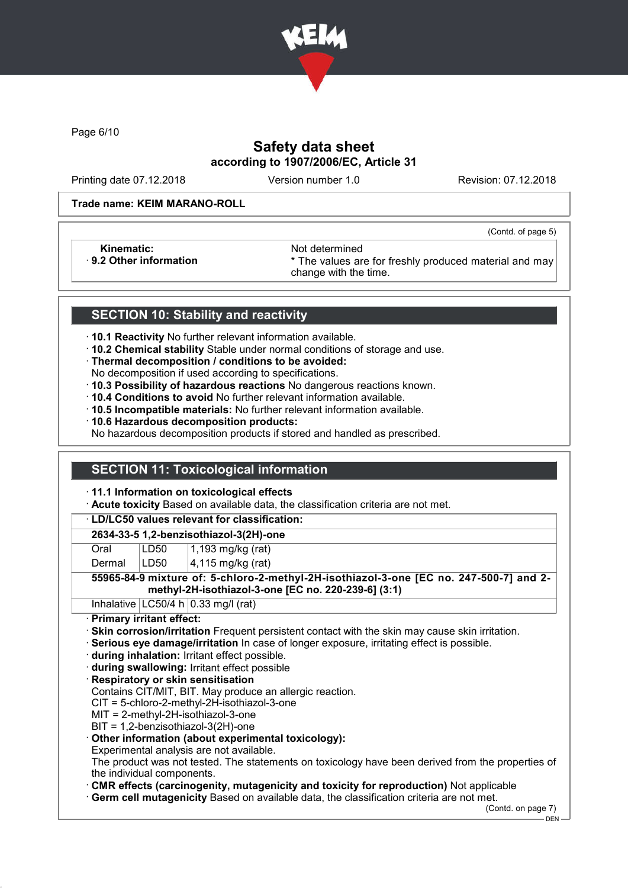

Page 6/10

# Safety data sheet according to 1907/2006/EC, Article 31

Printing date 07.12.2018 Version number 1.0 Revision: 07.12.2018

(Contd. of page 5)

#### Trade name: KEIM MARANO-ROLL

Kinematic: Not determined<br>B.2 Other information **Accord 1998** The values and the values are set of the values and the values are set of the values are set of the values are set of the values are set of the values are set o

\* The values are for freshly produced material and may change with the time.

# SECTION 10: Stability and reactivity

- · 10.1 Reactivity No further relevant information available.
- · 10.2 Chemical stability Stable under normal conditions of storage and use.
- · Thermal decomposition / conditions to be avoided:
- No decomposition if used according to specifications.
- · 10.3 Possibility of hazardous reactions No dangerous reactions known.
- · 10.4 Conditions to avoid No further relevant information available.
- · 10.5 Incompatible materials: No further relevant information available.
- · 10.6 Hazardous decomposition products:

No hazardous decomposition products if stored and handled as prescribed.

# SECTION 11: Toxicological information

#### · 11.1 Information on toxicological effects

· Acute toxicity Based on available data, the classification criteria are not met.

#### · LD/LC50 values relevant for classification:

## 2634-33-5 1,2-benzisothiazol-3(2H)-one

Oral **LD50** 1,193 mg/kg (rat)

Dermal  $|LD50|$   $|4,115$  mg/kg (rat)

### 55965-84-9 mixture of: 5-chloro-2-methyl-2H-isothiazol-3-one [EC no. 247-500-7] and 2 methyl-2H-isothiazol-3-one [EC no. 220-239-6] (3:1)

Inhalative  $LC50/4 h 0.33$  mg/l (rat)

### · Primary irritant effect:

- · Skin corrosion/irritation Frequent persistent contact with the skin may cause skin irritation.
- · Serious eye damage/irritation In case of longer exposure, irritating effect is possible.
- · during inhalation: Irritant effect possible.
- · during swallowing: Irritant effect possible

### · Respiratory or skin sensitisation

Contains CIT/MIT, BIT. May produce an allergic reaction.

CIT = 5-chloro-2-methyl-2H-isothiazol-3-one

- MIT = 2-methyl-2H-isothiazol-3-one
- BIT = 1,2-benzisothiazol-3(2H)-one

### · Other information (about experimental toxicology):

Experimental analysis are not available.

The product was not tested. The statements on toxicology have been derived from the properties of the individual components.

· CMR effects (carcinogenity, mutagenicity and toxicity for reproduction) Not applicable

· Germ cell mutagenicity Based on available data, the classification criteria are not met.

(Contd. on page 7)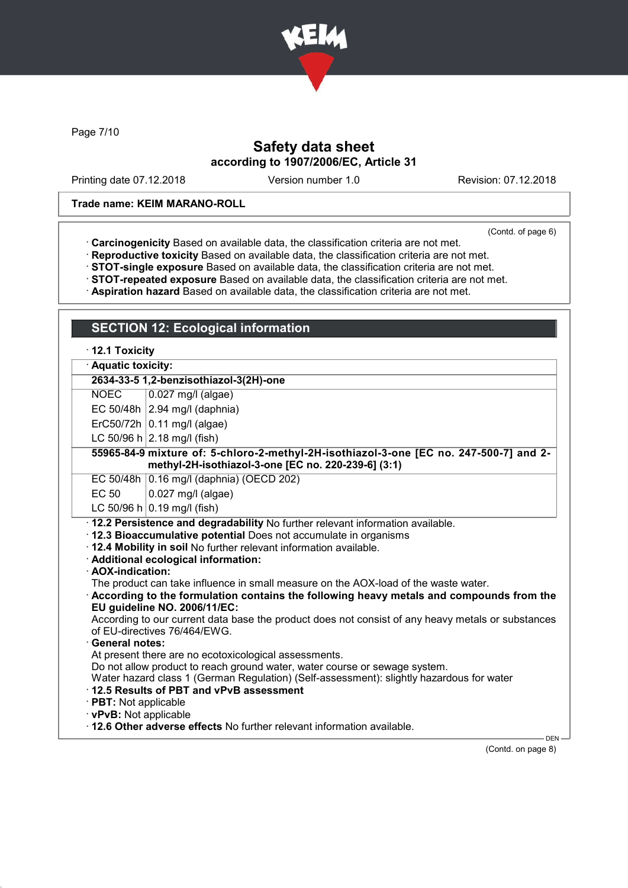

Page 7/10

# Safety data sheet according to 1907/2006/EC, Article 31

Printing date 07.12.2018 Version number 1.0 Revision: 07.12.2018

## Trade name: KEIM MARANO-ROLL

(Contd. of page 6)

- · Carcinogenicity Based on available data, the classification criteria are not met.
- · Reproductive toxicity Based on available data, the classification criteria are not met.
- · STOT-single exposure Based on available data, the classification criteria are not met.
- · STOT-repeated exposure Based on available data, the classification criteria are not met.
- · Aspiration hazard Based on available data, the classification criteria are not met.

|                                                                                                                                                                                                                                                                                                                                                                                                                                                                                                                                                                                                                                                                                                                                                                                                                                                                                                                                                                                                                                                                                   | <b>SECTION 12: Ecological information</b> |  |  |
|-----------------------------------------------------------------------------------------------------------------------------------------------------------------------------------------------------------------------------------------------------------------------------------------------------------------------------------------------------------------------------------------------------------------------------------------------------------------------------------------------------------------------------------------------------------------------------------------------------------------------------------------------------------------------------------------------------------------------------------------------------------------------------------------------------------------------------------------------------------------------------------------------------------------------------------------------------------------------------------------------------------------------------------------------------------------------------------|-------------------------------------------|--|--|
| $\cdot$ 12.1 Toxicity<br>· Aquatic toxicity:                                                                                                                                                                                                                                                                                                                                                                                                                                                                                                                                                                                                                                                                                                                                                                                                                                                                                                                                                                                                                                      |                                           |  |  |
|                                                                                                                                                                                                                                                                                                                                                                                                                                                                                                                                                                                                                                                                                                                                                                                                                                                                                                                                                                                                                                                                                   |                                           |  |  |
| <b>NOEC</b>                                                                                                                                                                                                                                                                                                                                                                                                                                                                                                                                                                                                                                                                                                                                                                                                                                                                                                                                                                                                                                                                       | $0.027$ mg/l (algae)                      |  |  |
|                                                                                                                                                                                                                                                                                                                                                                                                                                                                                                                                                                                                                                                                                                                                                                                                                                                                                                                                                                                                                                                                                   | EC 50/48h $\vert$ 2.94 mg/l (daphnia)     |  |  |
|                                                                                                                                                                                                                                                                                                                                                                                                                                                                                                                                                                                                                                                                                                                                                                                                                                                                                                                                                                                                                                                                                   | $ErC50/72h$ 0.11 mg/l (algae)             |  |  |
|                                                                                                                                                                                                                                                                                                                                                                                                                                                                                                                                                                                                                                                                                                                                                                                                                                                                                                                                                                                                                                                                                   | LC 50/96 h $ 2.18 \text{ mg/l}$ (fish)    |  |  |
| 55965-84-9 mixture of: 5-chloro-2-methyl-2H-isothiazol-3-one [EC no. 247-500-7] and 2-<br>methyl-2H-isothiazol-3-one [EC no. 220-239-6] (3:1)                                                                                                                                                                                                                                                                                                                                                                                                                                                                                                                                                                                                                                                                                                                                                                                                                                                                                                                                     |                                           |  |  |
|                                                                                                                                                                                                                                                                                                                                                                                                                                                                                                                                                                                                                                                                                                                                                                                                                                                                                                                                                                                                                                                                                   | EC 50/48h 0.16 mg/l (daphnia) (OECD 202)  |  |  |
| <b>EC 50</b>                                                                                                                                                                                                                                                                                                                                                                                                                                                                                                                                                                                                                                                                                                                                                                                                                                                                                                                                                                                                                                                                      | $0.027$ mg/l (algae)                      |  |  |
|                                                                                                                                                                                                                                                                                                                                                                                                                                                                                                                                                                                                                                                                                                                                                                                                                                                                                                                                                                                                                                                                                   | LC 50/96 h $ 0.19$ mg/l (fish)            |  |  |
| · 12.2 Persistence and degradability No further relevant information available.<br>12.3 Bioaccumulative potential Does not accumulate in organisms<br>. 12.4 Mobility in soil No further relevant information available.<br>· Additional ecological information:<br>· AOX-indication:<br>The product can take influence in small measure on the AOX-load of the waste water.<br>According to the formulation contains the following heavy metals and compounds from the<br>EU guideline NO. 2006/11/EC:<br>According to our current data base the product does not consist of any heavy metals or substances<br>of EU-directives 76/464/EWG.<br><b>General notes:</b><br>At present there are no ecotoxicological assessments.<br>Do not allow product to reach ground water, water course or sewage system.<br>Water hazard class 1 (German Regulation) (Self-assessment): slightly hazardous for water<br>12.5 Results of PBT and vPvB assessment<br>· PBT: Not applicable<br>· vPvB: Not applicable<br>. 12.6 Other adverse effects No further relevant information available. |                                           |  |  |
| DEN-                                                                                                                                                                                                                                                                                                                                                                                                                                                                                                                                                                                                                                                                                                                                                                                                                                                                                                                                                                                                                                                                              |                                           |  |  |

(Contd. on page 8)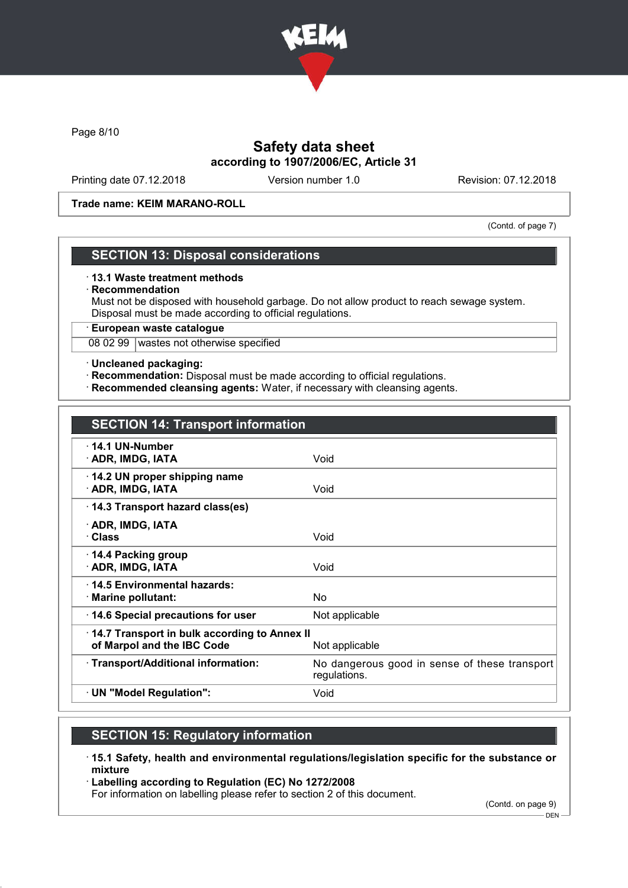

Page 8/10

# Safety data sheet according to 1907/2006/EC, Article 31

Printing date 07.12.2018 Version number 1.0 Revision: 07.12.2018

Trade name: KEIM MARANO-ROLL

(Contd. of page 7)

## SECTION 13: Disposal considerations

#### · 13.1 Waste treatment methods

#### · Recommendation

Must not be disposed with household garbage. Do not allow product to reach sewage system. Disposal must be made according to official regulations.

· European waste catalogue

08 02 99 wastes not otherwise specified

#### · Uncleaned packaging:

- · Recommendation: Disposal must be made according to official regulations.
- · Recommended cleansing agents: Water, if necessary with cleansing agents.

| <b>SECTION 14: Transport information</b>                                                     |                                                               |  |
|----------------------------------------------------------------------------------------------|---------------------------------------------------------------|--|
| $\cdot$ 14.1 UN-Number<br>· ADR, IMDG, IATA                                                  | Void                                                          |  |
| 14.2 UN proper shipping name<br>· ADR, IMDG, IATA                                            | Void                                                          |  |
| 14.3 Transport hazard class(es)                                                              |                                                               |  |
| · ADR, IMDG, IATA<br>· Class                                                                 | Void                                                          |  |
| ⋅ 14.4 Packing group<br>· ADR, IMDG, IATA                                                    | Void                                                          |  |
| ⋅14.5 Environmental hazards:<br>· Marine pollutant:                                          | No                                                            |  |
| 14.6 Special precautions for user                                                            | Not applicable                                                |  |
| 14.7 Transport in bulk according to Annex II<br>of Marpol and the IBC Code<br>Not applicable |                                                               |  |
| · Transport/Additional information:                                                          | No dangerous good in sense of these transport<br>regulations. |  |
| · UN "Model Regulation":                                                                     | Void                                                          |  |

# SECTION 15: Regulatory information

- · 15.1 Safety, health and environmental regulations/legislation specific for the substance or mixture
- · Labelling according to Regulation (EC) No 1272/2008

For information on labelling please refer to section 2 of this document.

(Contd. on page 9)

 $-$  DEN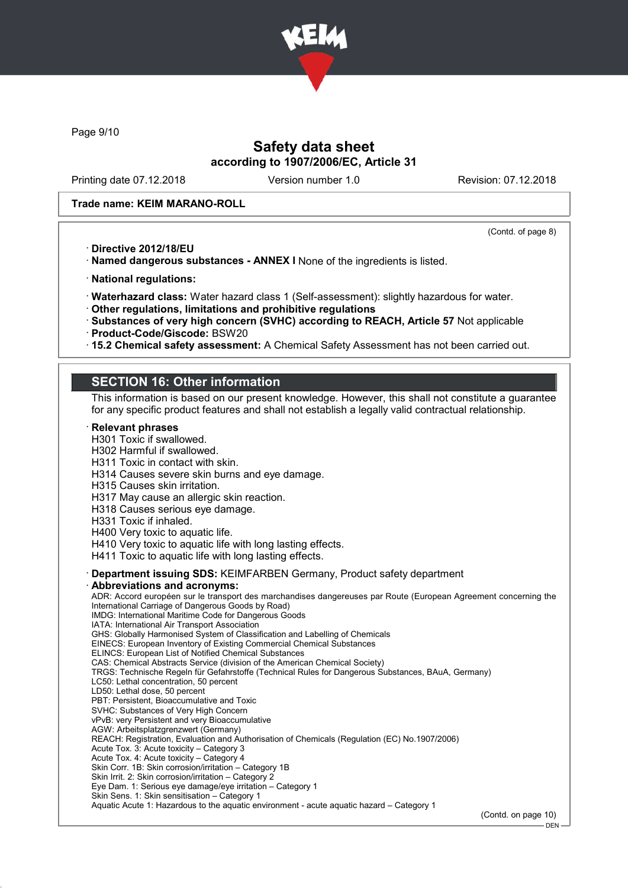

Page 9/10

## Safety data sheet according to 1907/2006/EC, Article 31

Printing date 07.12.2018 Version number 1.0 Revision: 07.12.2018

#### Trade name: KEIM MARANO-ROLL

(Contd. of page 8)

- · Directive 2012/18/EU
- · Named dangerous substances ANNEX I None of the ingredients is listed.
- · National regulations:
- · Waterhazard class: Water hazard class 1 (Self-assessment): slightly hazardous for water.
- · Other regulations, limitations and prohibitive regulations
- · Substances of very high concern (SVHC) according to REACH, Article 57 Not applicable
- · Product-Code/Giscode: BSW20
- · 15.2 Chemical safety assessment: A Chemical Safety Assessment has not been carried out.

## SECTION 16: Other information

This information is based on our present knowledge. However, this shall not constitute a guarantee for any specific product features and shall not establish a legally valid contractual relationship.

**Relevant phrases** H301 Toxic if swallowed. H302 Harmful if swallowed. H311 Toxic in contact with skin. H314 Causes severe skin burns and eye damage. H315 Causes skin irritation. H317 May cause an allergic skin reaction. H318 Causes serious eye damage. H331 Toxic if inhaled. H400 Very toxic to aquatic life. H410 Very toxic to aquatic life with long lasting effects. H411 Toxic to aquatic life with long lasting effects. · Department issuing SDS: KEIMFARBEN Germany, Product safety department · Abbreviations and acronyms: ADR: Accord européen sur le transport des marchandises dangereuses par Route (European Agreement concerning the International Carriage of Dangerous Goods by Road) IMDG: International Maritime Code for Dangerous Goods IATA: International Air Transport Association GHS: Globally Harmonised System of Classification and Labelling of Chemicals EINECS: European Inventory of Existing Commercial Chemical Substances ELINCS: European List of Notified Chemical Substances CAS: Chemical Abstracts Service (division of the American Chemical Society) TRGS: Technische Regeln für Gefahrstoffe (Technical Rules for Dangerous Substances, BAuA, Germany) LC50: Lethal concentration, 50 percent LD50: Lethal dose, 50 percent PBT: Persistent, Bioaccumulative and Toxic SVHC: Substances of Very High Concern vPvB: very Persistent and very Bioaccumulative AGW: Arbeitsplatzgrenzwert (Germany) REACH: Registration, Evaluation and Authorisation of Chemicals (Regulation (EC) No.1907/2006) Acute Tox. 3: Acute toxicity – Category 3 Acute Tox. 4: Acute toxicity – Category 4 Skin Corr. 1B: Skin corrosion/irritation – Category 1B Skin Irrit. 2: Skin corrosion/irritation – Category 2 Eye Dam. 1: Serious eye damage/eye irritation – Category 1 Skin Sens. 1: Skin sensitisation – Category 1 Aquatic Acute 1: Hazardous to the aquatic environment - acute aquatic hazard – Category 1 (Contd. on page 10) - DEN